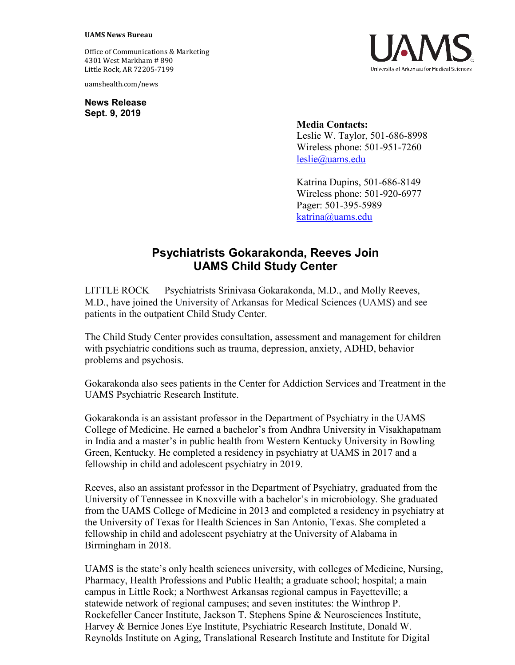## **UAMS News Bureau**

Office of Communications & Marketing 4301 West Markham # 890 Little Rock, AR 72205-7199

uamshealth.com/news

**News Release Sept. 9, 2019**



## **Media Contacts:** Leslie W. Taylor, 501-686-8998 Wireless phone: 501-951-7260 [leslie@uams.edu](mailto:leslie@uams.edu)

Katrina Dupins, 501-686-8149 Wireless phone: 501-920-6977 Pager: 501-395-5989 [katrina@uams.edu](mailto:katrina@uams.edu)

## **Psychiatrists Gokarakonda, Reeves Join UAMS Child Study Center**

LITTLE ROCK — Psychiatrists Srinivasa Gokarakonda, M.D., and Molly Reeves, M.D., have joined the University of Arkansas for Medical Sciences (UAMS) and see patients in the outpatient Child Study Center.

The Child Study Center provides consultation, assessment and management for children with psychiatric conditions such as trauma, depression, anxiety, ADHD, behavior problems and psychosis.

Gokarakonda also sees patients in the Center for Addiction Services and Treatment in the UAMS Psychiatric Research Institute.

Gokarakonda is an assistant professor in the Department of Psychiatry in the UAMS College of Medicine. He earned a bachelor's from Andhra University in Visakhapatnam in India and a master's in public health from Western Kentucky University in Bowling Green, Kentucky. He completed a residency in psychiatry at UAMS in 2017 and a fellowship in child and adolescent psychiatry in 2019.

Reeves, also an assistant professor in the Department of Psychiatry, graduated from the University of Tennessee in Knoxville with a bachelor's in microbiology. She graduated from the UAMS College of Medicine in 2013 and completed a residency in psychiatry at the University of Texas for Health Sciences in San Antonio, Texas. She completed a fellowship in child and adolescent psychiatry at the University of Alabama in Birmingham in 2018.

UAMS is the state's only health sciences university, with colleges of Medicine, Nursing, Pharmacy, Health Professions and Public Health; a graduate school; hospital; a main campus in Little Rock; a Northwest Arkansas regional campus in Fayetteville; a statewide network of regional campuses; and seven institutes: the Winthrop P. Rockefeller Cancer Institute, Jackson T. Stephens Spine & Neurosciences Institute, Harvey & Bernice Jones Eye Institute, Psychiatric Research Institute, Donald W. Reynolds Institute on Aging, Translational Research Institute and Institute for Digital